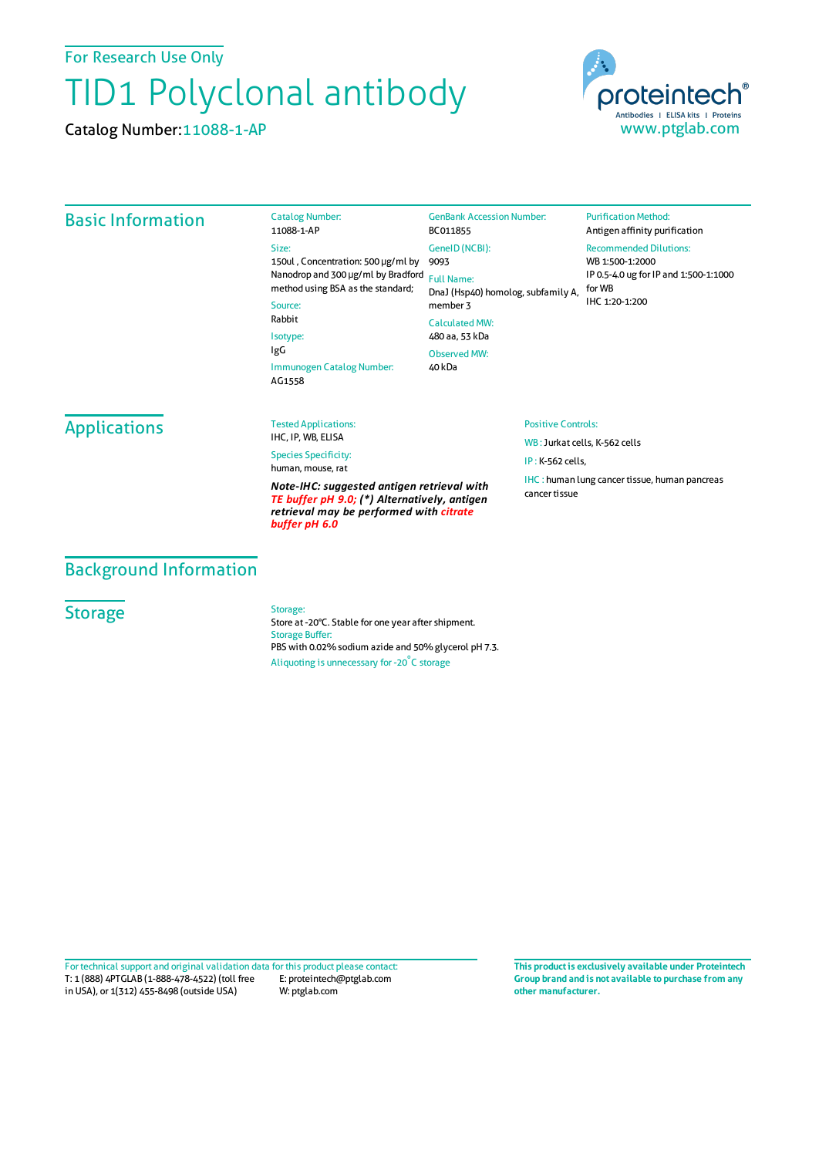For Research Use Only

# TID1 Polyclonal antibody

Catalog Number:11088-1-AP



## Basic Information

Catalog Number: 11088-1-AP Size: 150ul , Concentration: 500 μg/ml by 9093 Nanodrop and 300 μg/ml by Bradford Full Name: method using BSA as the standard; Source: Rabbit Isotype: IgG Immunogen Catalog Number: AG1558 GenBank Accession Number: BC011855 GeneID(NCBI): DnaJ (Hsp40) homolog, subfamily A, member 3 CalculatedMW: 480 aa, 53 kDa ObservedMW: 40 kDa

#### Recommended Dilutions: WB 1:500-1:2000

**Purification Method:** Antigen affinity purification

IP 0.5-4.0 ug forIP and 1:500-1:1000 forWB IHC 1:20-1:200

## Applications

Tested Applications: IHC, IP, WB, ELISA

Species Specificity: human, mouse, rat

*Note-IHC: suggested antigen retrieval with TE buffer pH 9.0; (\*) Alternatively, antigen retrieval may be performed with citrate buffer pH 6.0*

#### Positive Controls:

WB : Jurkat cells, K-562 cells IP : K-562 cells, IHC : human lung cancer tissue, human pancreas cancer tissue

## Background Information

### **Storage**

Storage:

Store at -20°C. Stable for one year after shipment. Storage Buffer: PBS with 0.02% sodium azide and 50% glycerol pH 7.3. Aliquoting is unnecessary for -20<sup>°</sup>C storage

T: 1 (888) 4PTGLAB (1-888-478-4522) (toll free in USA), or 1(312) 455-8498 (outside USA) E: proteintech@ptglab.com W: ptglab.com Fortechnical support and original validation data forthis product please contact: **This productis exclusively available under Proteintech**

**Group brand and is not available to purchase from any other manufacturer.**